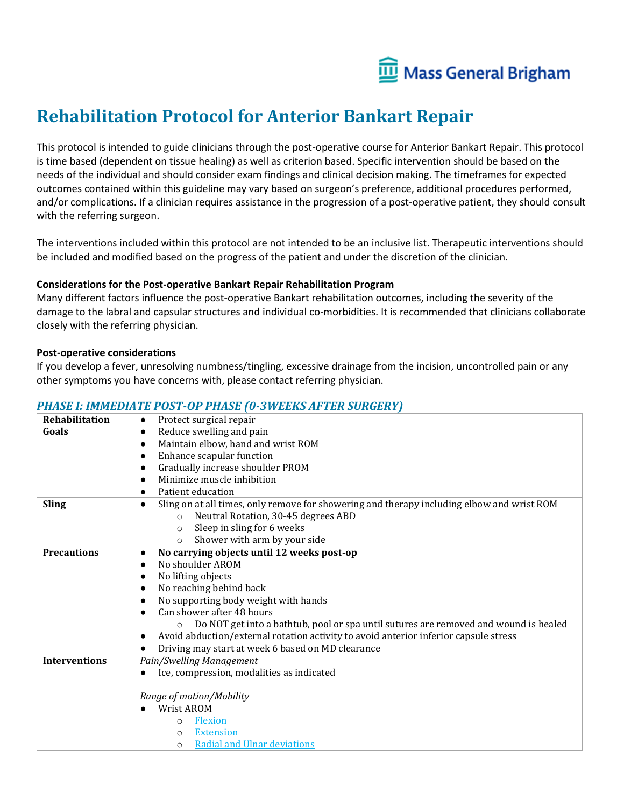

# **Rehabilitation Protocol for Anterior Bankart Repair**

This protocol is intended to guide clinicians through the post-operative course for Anterior Bankart Repair. This protocol is time based (dependent on tissue healing) as well as criterion based. Specific intervention should be based on the needs of the individual and should consider exam findings and clinical decision making. The timeframes for expected outcomes contained within this guideline may vary based on surgeon's preference, additional procedures performed, and/or complications. If a clinician requires assistance in the progression of a post-operative patient, they should consult with the referring surgeon.

The interventions included within this protocol are not intended to be an inclusive list. Therapeutic interventions should be included and modified based on the progress of the patient and under the discretion of the clinician.

### **Considerations for the Post-operative Bankart Repair Rehabilitation Program**

Many different factors influence the post-operative Bankart rehabilitation outcomes, including the severity of the damage to the labral and capsular structures and individual co-morbidities. It is recommended that clinicians collaborate closely with the referring physician.

### **Post-operative considerations**

If you develop a fever, unresolving numbness/tingling, excessive drainage from the incision, uncontrolled pain or any other symptoms you have concerns with, please contact referring physician.

### *PHASE I: IMMEDIATE POST-OP PHASE (0-3WEEKS AFTER SURGERY)*

| Rehabilitation       | Protect surgical repair<br>$\bullet$                                                                    |
|----------------------|---------------------------------------------------------------------------------------------------------|
| Goals                | Reduce swelling and pain<br>$\bullet$                                                                   |
|                      | Maintain elbow, hand and wrist ROM<br>$\bullet$                                                         |
|                      | Enhance scapular function                                                                               |
|                      | Gradually increase shoulder PROM<br>$\bullet$                                                           |
|                      | Minimize muscle inhibition<br>٠                                                                         |
|                      | Patient education                                                                                       |
| <b>Sling</b>         | Sling on at all times, only remove for showering and therapy including elbow and wrist ROM<br>$\bullet$ |
|                      | Neutral Rotation, 30-45 degrees ABD<br>$\Omega$                                                         |
|                      | Sleep in sling for 6 weeks<br>$\circ$                                                                   |
|                      | Shower with arm by your side<br>$\circ$                                                                 |
| <b>Precautions</b>   | No carrying objects until 12 weeks post-op<br>$\bullet$                                                 |
|                      | No shoulder AROM<br>$\bullet$                                                                           |
|                      | No lifting objects<br>$\bullet$                                                                         |
|                      | No reaching behind back<br>$\bullet$                                                                    |
|                      | No supporting body weight with hands                                                                    |
|                      | Can shower after 48 hours<br>$\bullet$                                                                  |
|                      | Do NOT get into a bathtub, pool or spa until sutures are removed and wound is healed                    |
|                      | Avoid abduction/external rotation activity to avoid anterior inferior capsule stress                    |
|                      | Driving may start at week 6 based on MD clearance                                                       |
| <b>Interventions</b> | Pain/Swelling Management                                                                                |
|                      | Ice, compression, modalities as indicated                                                               |
|                      |                                                                                                         |
|                      | Range of motion/Mobility                                                                                |
|                      | Wrist AROM                                                                                              |
|                      | <b>Flexion</b><br>$\circ$                                                                               |
|                      | <b>Extension</b><br>$\Omega$                                                                            |
|                      | <b>Radial and Ulnar deviations</b><br>$\Omega$                                                          |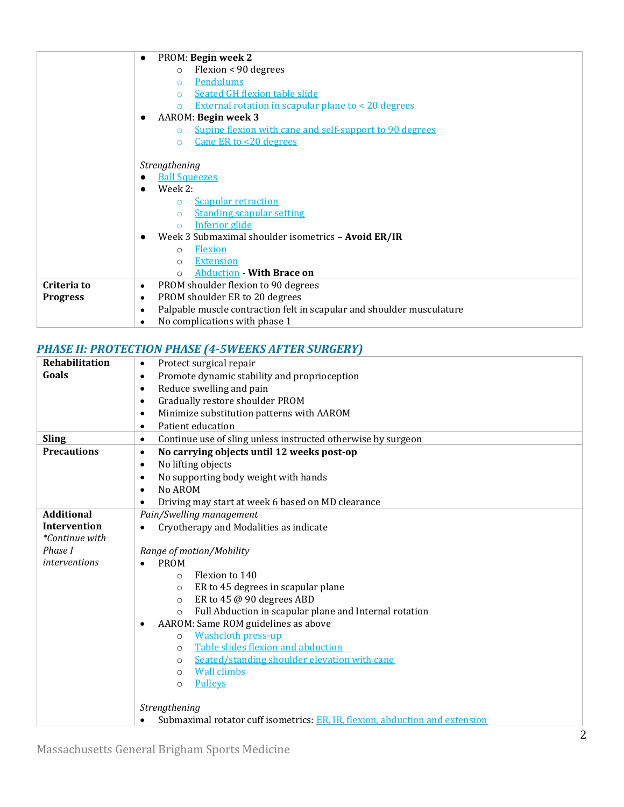| PROM: Begin week 2<br>$\bullet$                                           |
|---------------------------------------------------------------------------|
| Flexion $\leq$ 90 degrees<br>$\circ$                                      |
| Pendulums<br>$\circ$                                                      |
| Seated GH flexion table slide<br>$\circ$                                  |
| <b>External rotation in scapular plane to &lt; 20 degrees</b><br>$\Omega$ |
|                                                                           |
| AAROM: Begin week 3                                                       |
| Supine flexion with cane and self-support to 90 degrees<br>$\Omega$       |
| Cane ER to <20 degrees<br>$\Omega$                                        |
|                                                                           |
| Strengthening                                                             |
| <b>Ball Squeezes</b>                                                      |
| Week 2:                                                                   |
| <b>Scapular retraction</b><br>$\circ$                                     |
| <b>Standing scapular setting</b><br>$\circ$                               |
| Inferior glide<br>$\Omega$                                                |
| Week 3 Submaximal shoulder isometrics - Avoid ER/IR                       |
| Flexion<br>$\circ$                                                        |
| <b>Extension</b><br>$\circ$                                               |
| <b>Abduction - With Brace on</b><br>$\Omega$                              |
| PROM shoulder flexion to 90 degrees<br>$\bullet$                          |
| PROM shoulder ER to 20 degrees<br>٠                                       |
| Palpable muscle contraction felt in scapular and shoulder musculature     |
| No complications with phase 1                                             |
|                                                                           |

# *PHASE II: PROTECTION PHASE (4-5WEEKS AFTER SURGERY)*

| Rehabilitation        | Protect surgical repair<br>$\bullet$                                         |
|-----------------------|------------------------------------------------------------------------------|
| Goals                 | Promote dynamic stability and proprioception<br>$\bullet$                    |
|                       | Reduce swelling and pain<br>$\bullet$                                        |
|                       | Gradually restore shoulder PROM<br>٠                                         |
|                       | Minimize substitution patterns with AAROM<br>$\bullet$                       |
|                       | Patient education<br>$\bullet$                                               |
| <b>Sling</b>          | Continue use of sling unless instructed otherwise by surgeon<br>٠            |
| <b>Precautions</b>    | No carrying objects until 12 weeks post-op<br>$\bullet$                      |
|                       | No lifting objects<br>$\bullet$                                              |
|                       | No supporting body weight with hands                                         |
|                       | No AROM                                                                      |
|                       | Driving may start at week 6 based on MD clearance                            |
| <b>Additional</b>     | Pain/Swelling management                                                     |
| <b>Intervention</b>   | Cryotherapy and Modalities as indicate                                       |
| <i>*Continue with</i> |                                                                              |
| Phase I               | Range of motion/Mobility                                                     |
| interventions         | <b>PROM</b>                                                                  |
|                       | Flexion to 140<br>$\circ$                                                    |
|                       | ER to 45 degrees in scapular plane<br>$\circ$                                |
|                       | ER to 45 @ 90 degrees ABD<br>$\circ$                                         |
|                       | Full Abduction in scapular plane and Internal rotation<br>$\circ$            |
|                       | AAROM: Same ROM guidelines as above                                          |
|                       | <b>Washcloth press-up</b><br>$\Omega$                                        |
|                       | Table slides flexion and abduction<br>$\circ$                                |
|                       | Seated/standing shoulder elevation with cane<br>$\circ$                      |
|                       | <b>Wall climbs</b><br>$\circ$                                                |
|                       | Pulleys<br>$\circ$                                                           |
|                       |                                                                              |
|                       | Strengthening                                                                |
|                       | Submaximal rotator cuff isometrics: ER, IR, flexion, abduction and extension |

Massachusetts General Brigham Sports Medicine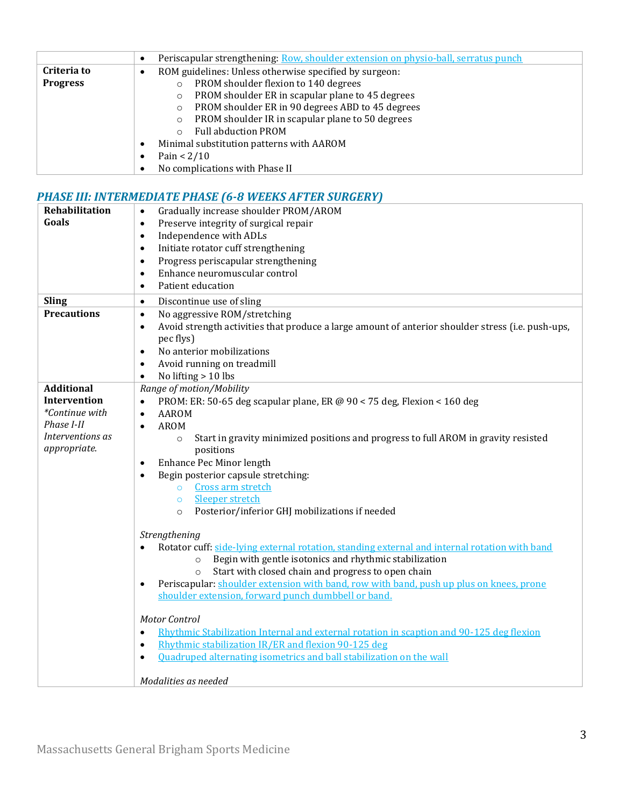|                 | Periscapular strengthening: Row, shoulder extension on physio-ball, serratus punch<br>٠ |
|-----------------|-----------------------------------------------------------------------------------------|
| Criteria to     | ROM guidelines: Unless otherwise specified by surgeon:<br>٠                             |
| <b>Progress</b> | PROM shoulder flexion to 140 degrees<br>$\Omega$                                        |
|                 | PROM shoulder ER in scapular plane to 45 degrees<br>$\circ$                             |
|                 | PROM shoulder ER in 90 degrees ABD to 45 degrees<br>$\circ$                             |
|                 | PROM shoulder IR in scapular plane to 50 degrees<br>$\circ$                             |
|                 | <b>Full abduction PROM</b>                                                              |
|                 | Minimal substitution patterns with AAROM<br>C                                           |
|                 | Pain $< 2/10$<br>٠                                                                      |
|                 | No complications with Phase II<br>٠                                                     |

## *PHASE III: INTERMEDIATE PHASE (6-8 WEEKS AFTER SURGERY)*

| Rehabilitation      | Gradually increase shoulder PROM/AROM<br>$\bullet$                                                             |
|---------------------|----------------------------------------------------------------------------------------------------------------|
| Goals               | Preserve integrity of surgical repair<br>$\bullet$                                                             |
|                     | Independence with ADLs<br>$\bullet$                                                                            |
|                     | Initiate rotator cuff strengthening<br>$\bullet$                                                               |
|                     | Progress periscapular strengthening<br>$\bullet$                                                               |
|                     | Enhance neuromuscular control<br>$\bullet$                                                                     |
|                     | Patient education<br>$\bullet$                                                                                 |
| <b>Sling</b>        | Discontinue use of sling<br>$\bullet$                                                                          |
| <b>Precautions</b>  | No aggressive ROM/stretching<br>$\bullet$                                                                      |
|                     | Avoid strength activities that produce a large amount of anterior shoulder stress (i.e. push-ups,<br>$\bullet$ |
|                     | pec flys)                                                                                                      |
|                     | No anterior mobilizations<br>$\bullet$                                                                         |
|                     | Avoid running on treadmill<br>$\bullet$                                                                        |
|                     | No lifting > 10 lbs<br>$\bullet$                                                                               |
| <b>Additional</b>   | Range of motion/Mobility                                                                                       |
| <b>Intervention</b> | PROM: ER: 50-65 deg scapular plane, ER @ 90 < 75 deg, Flexion < 160 deg<br>$\bullet$                           |
| *Continue with      | <b>AAROM</b><br>$\bullet$                                                                                      |
| Phase I-II          | <b>AROM</b><br>$\bullet$                                                                                       |
| Interventions as    | Start in gravity minimized positions and progress to full AROM in gravity resisted<br>$\circ$                  |
| appropriate.        | positions                                                                                                      |
|                     | Enhance Pec Minor length<br>$\bullet$                                                                          |
|                     | Begin posterior capsule stretching:<br>$\bullet$                                                               |
|                     | Cross arm stretch<br>$\circ$                                                                                   |
|                     | Sleeper stretch<br>$\circ$                                                                                     |
|                     | Posterior/inferior GHJ mobilizations if needed<br>$\circ$                                                      |
|                     |                                                                                                                |
|                     | Strengthening                                                                                                  |
|                     | Rotator cuff: side-lying external rotation, standing external and internal rotation with band                  |
|                     | Begin with gentle isotonics and rhythmic stabilization<br>$\circ$                                              |
|                     | Start with closed chain and progress to open chain<br>$\circ$                                                  |
|                     | Periscapular: shoulder extension with band, row with band, push up plus on knees, prone<br>$\bullet$           |
|                     | shoulder extension, forward punch dumbbell or band.                                                            |
|                     | <b>Motor Control</b>                                                                                           |
|                     | Rhythmic Stabilization Internal and external rotation in scaption and 90-125 deg flexion<br>$\bullet$          |
|                     | Rhythmic stabilization IR/ER and flexion 90-125 deg                                                            |
|                     | $\bullet$                                                                                                      |
|                     | Ouadruped alternating isometrics and ball stabilization on the wall<br>$\bullet$                               |
|                     | Modalities as needed                                                                                           |
|                     |                                                                                                                |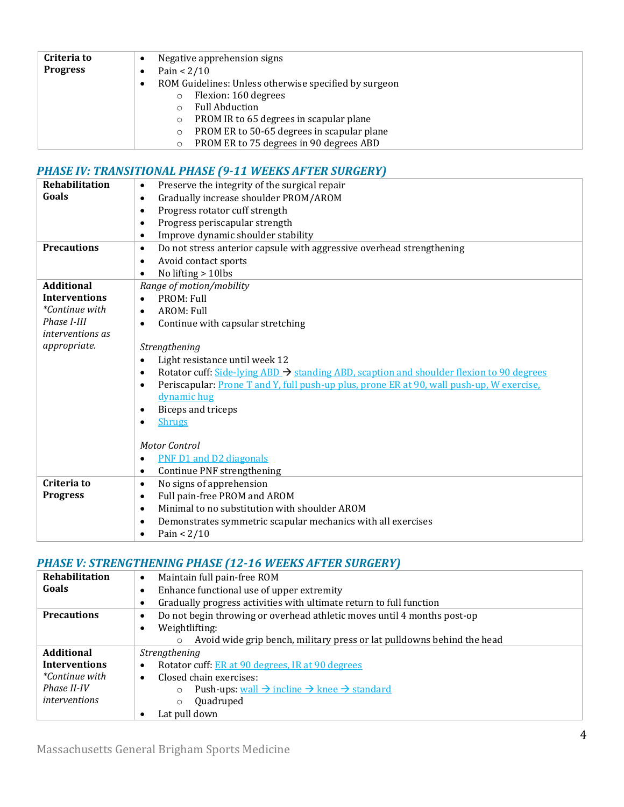| Criteria to     | Negative apprehension signs                                |
|-----------------|------------------------------------------------------------|
| <b>Progress</b> | Pain $< 2/10$                                              |
|                 | ROM Guidelines: Unless otherwise specified by surgeon<br>٠ |
|                 | Flexion: 160 degrees<br>$\circ$                            |
|                 | <b>Full Abduction</b>                                      |
|                 | PROM IR to 65 degrees in scapular plane<br>$\circ$         |
|                 | PROM ER to 50-65 degrees in scapular plane<br>$\circ$      |
|                 | PROM ER to 75 degrees in 90 degrees ABD                    |

# *PHASE IV: TRANSITIONAL PHASE (9-11 WEEKS AFTER SURGERY)*

| <b>Rehabilitation</b>   | Preserve the integrity of the surgical repair<br>$\bullet$                                                        |
|-------------------------|-------------------------------------------------------------------------------------------------------------------|
| Goals                   | Gradually increase shoulder PROM/AROM<br>$\bullet$                                                                |
|                         | Progress rotator cuff strength<br>$\bullet$                                                                       |
|                         | Progress periscapular strength<br>$\bullet$                                                                       |
|                         | Improve dynamic shoulder stability<br>$\bullet$                                                                   |
| <b>Precautions</b>      | Do not stress anterior capsule with aggressive overhead strengthening<br>$\bullet$                                |
|                         | Avoid contact sports<br>$\bullet$                                                                                 |
|                         | No lifting > 10lbs                                                                                                |
| <b>Additional</b>       | Range of motion/mobility                                                                                          |
| <b>Interventions</b>    | PROM: Full<br>$\bullet$                                                                                           |
| <i>*Continue with</i>   | AROM: Full<br>$\bullet$                                                                                           |
| Phase I-III             | Continue with capsular stretching<br>$\bullet$                                                                    |
| <i>interventions as</i> |                                                                                                                   |
| appropriate.            | Strengthening                                                                                                     |
|                         | Light resistance until week 12<br>$\bullet$                                                                       |
|                         | Rotator cuff: $\frac{Side - lying ABD}{A}$ standing ABD, scaption and shoulder flexion to 90 degrees<br>$\bullet$ |
|                         | Periscapular: Prone T and Y, full push-up plus, prone ER at 90, wall push-up, W exercise,<br>$\bullet$            |
|                         | dynamic hug                                                                                                       |
|                         | Biceps and triceps<br>٠                                                                                           |
|                         | <b>Shrugs</b><br>$\bullet$                                                                                        |
|                         |                                                                                                                   |
|                         | Motor Control                                                                                                     |
|                         | PNF D1 and D2 diagonals<br>$\bullet$                                                                              |
|                         | Continue PNF strengthening<br>$\bullet$                                                                           |
| Criteria to             | No signs of apprehension<br>$\bullet$                                                                             |
| <b>Progress</b>         | Full pain-free PROM and AROM<br>$\bullet$                                                                         |
|                         | Minimal to no substitution with shoulder AROM<br>$\bullet$                                                        |
|                         | Demonstrates symmetric scapular mechanics with all exercises<br>$\bullet$                                         |
|                         | Pain $< 2/10$<br>$\bullet$                                                                                        |

## *PHASE V: STRENGTHENING PHASE (12-16 WEEKS AFTER SURGERY)*

| <b>Rehabilitation</b> | Maintain full pain-free ROM<br>$\bullet$                                              |
|-----------------------|---------------------------------------------------------------------------------------|
| Goals                 | Enhance functional use of upper extremity<br>$\bullet$                                |
|                       | Gradually progress activities with ultimate return to full function<br>٠              |
| <b>Precautions</b>    | Do not begin throwing or overhead athletic moves until 4 months post-op<br>٠          |
|                       | Weightlifting:<br>$\bullet$                                                           |
|                       | Avoid wide grip bench, military press or lat pulldowns behind the head<br>$\circ$     |
| <b>Additional</b>     | Strengthening                                                                         |
| <b>Interventions</b>  | Rotator cuff: ER at 90 degrees, IR at 90 degrees<br>$\bullet$                         |
| <i>*Continue with</i> | Closed chain exercises:<br>$\bullet$                                                  |
| Phase II-IV           | Push-ups: $wall \rightarrow incline \rightarrow knee \rightarrow standard$<br>$\circ$ |
| <i>interventions</i>  | Quadruped<br>$\circ$                                                                  |
|                       | Lat pull down<br>$\bullet$                                                            |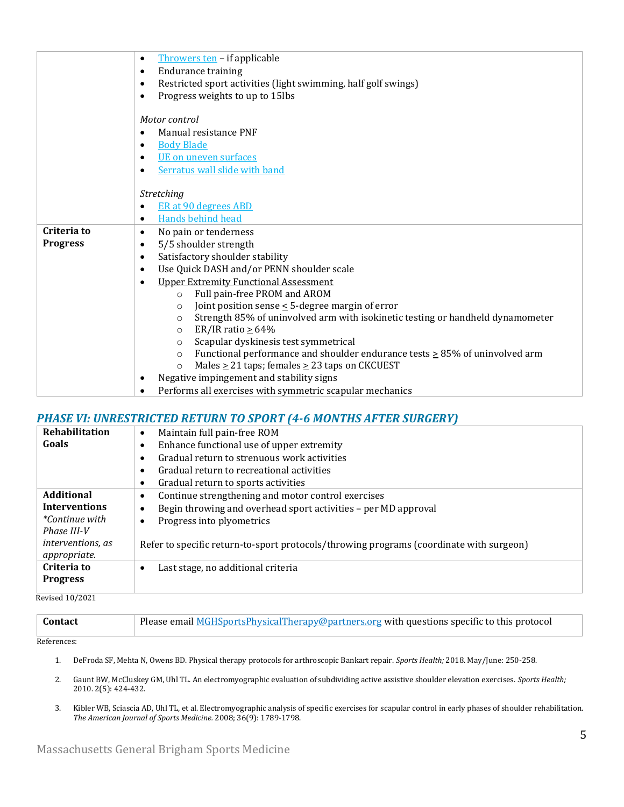|                 | Throwers ten - if applicable<br>$\bullet$                                                   |
|-----------------|---------------------------------------------------------------------------------------------|
|                 | <b>Endurance training</b><br>$\bullet$                                                      |
|                 | Restricted sport activities (light swimming, half golf swings)<br>$\bullet$                 |
|                 | Progress weights to up to 15lbs<br>$\bullet$                                                |
|                 |                                                                                             |
|                 | Motor control                                                                               |
|                 | Manual resistance PNF<br>$\bullet$                                                          |
|                 | <b>Body Blade</b><br>٠                                                                      |
|                 | UE on uneven surfaces<br>$\bullet$                                                          |
|                 | Serratus wall slide with band<br>$\bullet$                                                  |
|                 |                                                                                             |
|                 | Stretching                                                                                  |
|                 | ER at 90 degrees ABD<br>$\bullet$                                                           |
|                 | Hands behind head<br>$\bullet$                                                              |
| Criteria to     | No pain or tenderness<br>$\bullet$                                                          |
| <b>Progress</b> | 5/5 shoulder strength<br>$\bullet$                                                          |
|                 | Satisfactory shoulder stability<br>$\bullet$                                                |
|                 | Use Quick DASH and/or PENN shoulder scale<br>$\bullet$                                      |
|                 | <b>Upper Extremity Functional Assessment</b><br>$\epsilon$                                  |
|                 | Full pain-free PROM and AROM<br>$\circ$                                                     |
|                 | Joint position sense $\leq$ 5-degree margin of error<br>$\circ$                             |
|                 | Strength 85% of uninvolved arm with isokinetic testing or handheld dynamometer<br>$\circ$   |
|                 | ER/IR ratio $\geq 64\%$<br>$\circ$                                                          |
|                 | Scapular dyskinesis test symmetrical<br>$\circ$                                             |
|                 | Functional performance and shoulder endurance tests $\geq$ 85% of uninvolved arm<br>$\circ$ |
|                 | Males $\geq$ 21 taps; females $\geq$ 23 taps on CKCUEST<br>$\circ$                          |
|                 | Negative impingement and stability signs<br>$\bullet$                                       |
|                 | Performs all exercises with symmetric scapular mechanics<br>$\bullet$                       |

# *PHASE VI: UNRESTRICTED RETURN TO SPORT (4-6 MONTHS AFTER SURGERY)*

| Rehabilitation           | Maintain full pain-free ROM<br>$\bullet$                                                |
|--------------------------|-----------------------------------------------------------------------------------------|
| Goals                    | Enhance functional use of upper extremity<br>٠                                          |
|                          | Gradual return to strenuous work activities<br>٠                                        |
|                          | Gradual return to recreational activities                                               |
|                          | Gradual return to sports activities<br>$\bullet$                                        |
| <b>Additional</b>        | Continue strengthening and motor control exercises<br>$\bullet$                         |
| <b>Interventions</b>     | Begin throwing and overhead sport activities - per MD approval<br>٠                     |
| <i>*Continue with</i>    | Progress into plyometrics<br>٠                                                          |
| Phase III-V              |                                                                                         |
| <i>interventions, as</i> | Refer to specific return-to-sport protocols/throwing programs (coordinate with surgeon) |
| appropriate.             |                                                                                         |
| Criteria to              | Last stage, no additional criteria<br>$\bullet$                                         |
| <b>Progress</b>          |                                                                                         |
|                          |                                                                                         |

Revised 10/2021

| <b>Contact</b>                     | Please email <b>MGHSportsPhysicalTherapy@partners.org</b> with questions specific to this protocol |
|------------------------------------|----------------------------------------------------------------------------------------------------|
| $D = 2 \times 2 \times 3 \times 4$ |                                                                                                    |

References:

- 1. DeFroda SF, Mehta N, Owens BD. Physical therapy protocols for arthroscopic Bankart repair. *Sports Health;* 2018. May/June: 250-258.
- 2. Gaunt BW, McCluskey GM, Uhl TL. An electromyographic evaluation of subdividing active assistive shoulder elevation exercises. *Sports Health;* 2010. 2(5): 424-432.
- 3. Kibler WB, Sciascia AD, Uhl TL, et al. Electromyographic analysis of specific exercises for scapular control in early phases of shoulder rehabilitation. *The American Journal of Sports Medicine.* 2008; 36(9): 1789-1798.